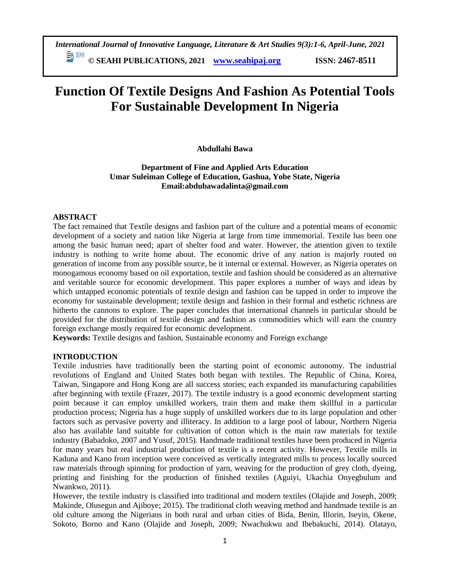198 **© SEAHI PUBLICATIONS, 2021 [www.seahipaj.org](http://www.seahipaj.org/) ISSN: 2467-8511**

# **Function Of Textile Designs And Fashion As Potential Tools For Sustainable Development In Nigeria**

# **Abdullahi Bawa**

**Department of Fine and Applied Arts Education Umar Suleiman College of Education, Gashua, Yobe State, Nigeria Email:abdubawadalinta@gmail.com**

#### **ABSTRACT**

The fact remained that Textile designs and fashion part of the culture and a potential means of economic development of a society and nation like Nigeria at large from time immemorial. Textile has been one among the basic human need; apart of shelter food and water. However, the attention given to textile industry is nothing to write home about. The economic drive of any nation is majorly routed on generation of income from any possible source, be it internal or external. However, as Nigeria operates on monogamous economy based on oil exportation, textile and fashion should be considered as an alternative and veritable source for economic development. This paper explores a number of ways and ideas by which untapped economic potentials of textile design and fashion can be tapped in order to improve the economy for sustainable development; textile design and fashion in their formal and esthetic richness are hitherto the cannons to explore. The paper concludes that international channels in particular should be provided for the distribution of textile design and fashion as commodities which will earn the country foreign exchange mostly required for economic development.

**Keywords:** Textile designs and fashion, Sustainable economy and Foreign exchange

#### **INTRODUCTION**

Textile industries have traditionally been the starting point of economic autonomy. The industrial revolutions of England and United States both began with textiles. The Republic of China, Korea, Taiwan, Singapore and Hong Kong are all success stories; each expanded its manufacturing capabilities after beginning with textile (Frazer, 2017). The textile industry is a good economic development starting point because it can employ unskilled workers, train them and make them skillful in a particular production process; Nigeria has a huge supply of unskilled workers due to its large population and other factors such as pervasive poverty and illiteracy. In addition to a large pool of labour, Northern Nigeria also has available land suitable for cultivation of cotton which is the main raw materials for textile industry (Babadoko, 2007 and Yusuf, 2015). Handmade traditional textiles have been produced in Nigeria for many years but real industrial production of textile is a recent activity. However, Textile mills in Kaduna and Kano from inception were conceived as vertically integrated mills to process locally sourced raw materials through spinning for production of yarn, weaving for the production of grey cloth, dyeing, printing and finishing for the production of finished textiles (Aguiyi, Ukachia Onyegbulum and Nwankwo, 2011).

However, the textile industry is classified into traditional and modern textiles (Olajide and Joseph, 2009; Makinde, Olusegun and Ajiboye; 2015). The traditional cloth weaving method and handmade textile is an old culture among the Nigerians in both rural and urban cities of Bida, Benin, Illorin, Iseyin, Okene, Sokoto, Borno and Kano (Olajide and Joseph, 2009; Nwachukwu and Ibebakuchi, 2014). Olatayo,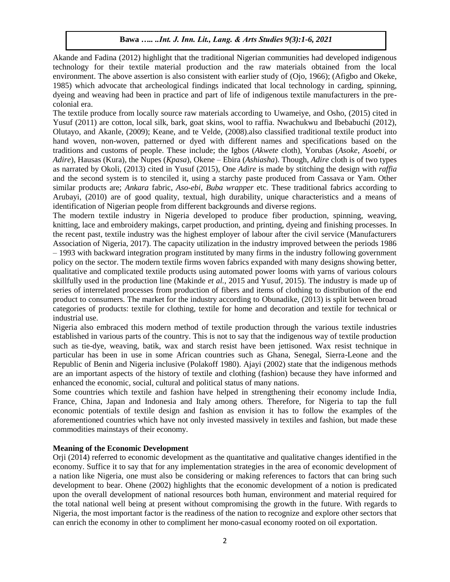Akande and Fadina (2012) highlight that the traditional Nigerian communities had developed indigenous technology for their textile material production and the raw materials obtained from the local environment. The above assertion is also consistent with earlier study of (Ojo, 1966); (Afigbo and Okeke, 1985) which advocate that archeological findings indicated that local technology in carding, spinning, dyeing and weaving had been in practice and part of life of indigenous textile manufacturers in the precolonial era.

The textile produce from locally source raw materials according to Uwameiye, and Osho, (2015) cited in Yusuf (2011) are cotton, local silk, bark, goat skins, wool to raffia. Nwachukwu and Ibebabuchi (2012), Olutayo, and Akanle, (2009); Keane, and te Velde, (2008).also classified traditional textile product into hand woven, non-woven, patterned or dyed with different names and specifications based on the traditions and customs of people. These include; the Igbos (*Akwete* cloth), Yorubas (*Asoke*, *Asoebi*, *or Adire*), Hausas (Kura), the Nupes (*Kpasa*), Okene – Ebira (*Ashiasha*). Though, *Adire* cloth is of two types as narrated by Okoli, (2013) cited in Yusuf (2015), One *Adire* is made by stitching the design with *raffia* and the second system is to stenciled it, using a starchy paste produced from Cassava or Yam. Other similar products are; *Ankara* fabric, *Aso-ebi*, *Buba wrapper* etc. These traditional fabrics according to Arubayi, (2010) are of good quality, textual, high durability, unique characteristics and a means of identification of Nigerian people from different backgrounds and diverse regions.

The modern textile industry in Nigeria developed to produce fiber production, spinning, weaving, knitting, lace and embroidery makings, carpet production, and printing, dyeing and finishing processes. In the recent past, textile industry was the highest employer of labour after the civil service (Manufacturers Association of Nigeria, 2017). The capacity utilization in the industry improved between the periods 1986 – 1993 with backward integration program instituted by many firms in the industry following government policy on the sector. The modern textile firms woven fabrics expanded with many designs showing better, qualitative and complicated textile products using automated power looms with yarns of various colours skillfully used in the production line (Makinde *et al.,* 2015 and Yusuf, 2015). The industry is made up of series of interrelated processes from production of fibers and items of clothing to distribution of the end product to consumers. The market for the industry according to Obunadike, (2013) is split between broad categories of products: textile for clothing, textile for home and decoration and textile for technical or industrial use.

Nigeria also embraced this modern method of textile production through the various textile industries established in various parts of the country. This is not to say that the indigenous way of textile production such as tie-dye, weaving, batik, wax and starch resist have been jettisoned. Wax resist technique in particular has been in use in some African countries such as Ghana, Senegal, Sierra-Leone and the Republic of Benin and Nigeria inclusive (Polakoff 1980). Ajayi (2002) state that the indigenous methods are an important aspects of the history of textile and clothing (fashion) because they have informed and enhanced the economic, social, cultural and political status of many nations.

Some countries which textile and fashion have helped in strengthening their economy include India, France, China, Japan and Indonesia and Italy among others. Therefore, for Nigeria to tap the full economic potentials of textile design and fashion as envision it has to follow the examples of the aforementioned countries which have not only invested massively in textiles and fashion, but made these commodities mainstays of their economy.

# **Meaning of the Economic Development**

Orji (2014) referred to economic development as the quantitative and qualitative changes identified in the economy. Suffice it to say that for any implementation strategies in the area of economic development of a nation like Nigeria, one must also be considering or making references to factors that can bring such development to bear. Ohene (2002) highlights that the economic development of a notion is predicated upon the overall development of national resources both human, environment and material required for the total national well being at present without compromising the growth in the future. With regards to Nigeria, the most important factor is the readiness of the nation to recognize and explore other sectors that can enrich the economy in other to compliment her mono-casual economy rooted on oil exportation.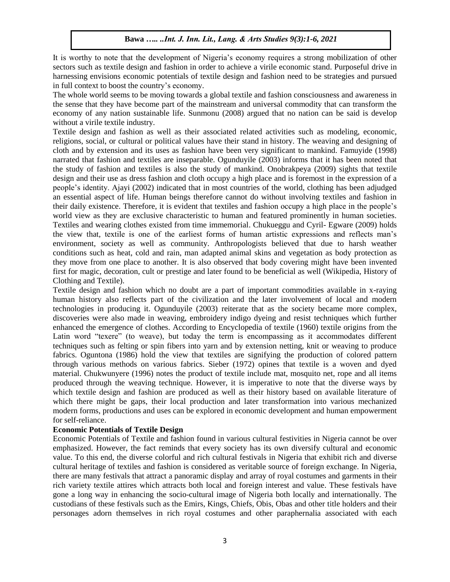It is worthy to note that the development of Nigeria's economy requires a strong mobilization of other sectors such as textile design and fashion in order to achieve a virile economic stand. Purposeful drive in harnessing envisions economic potentials of textile design and fashion need to be strategies and pursued in full context to boost the country's economy.

The whole world seems to be moving towards a global textile and fashion consciousness and awareness in the sense that they have become part of the mainstream and universal commodity that can transform the economy of any nation sustainable life. Sunmonu (2008) argued that no nation can be said is develop without a virile textile industry.

Textile design and fashion as well as their associated related activities such as modeling, economic, religions, social, or cultural or political values have their stand in history. The weaving and designing of cloth and by extension and its uses as fashion have been very significant to mankind. Famuyide (1998) narrated that fashion and textiles are inseparable. Ogunduyile (2003) informs that it has been noted that the study of fashion and textiles is also the study of mankind. Onobrakpeya (2009) sights that textile design and their use as dress fashion and cloth occupy a high place and is foremost in the expression of a people's identity. Ajayi (2002) indicated that in most countries of the world, clothing has been adjudged an essential aspect of life. Human beings therefore cannot do without involving textiles and fashion in their daily existence. Therefore, it is evident that textiles and fashion occupy a high place in the people's world view as they are exclusive characteristic to human and featured prominently in human societies. Textiles and wearing clothes existed from time immemorial. Chukueggu and Cyril- Egware (2009) holds the view that, textile is one of the earliest forms of human artistic expressions and reflects man's environment, society as well as community. Anthropologists believed that due to harsh weather conditions such as heat, cold and rain, man adapted animal skins and vegetation as body protection as they move from one place to another. It is also observed that body covering might have been invented first for magic, decoration, cult or prestige and later found to be beneficial as well (Wikipedia, History of Clothing and Textile).

Textile design and fashion which no doubt are a part of important commodities available in x-raying human history also reflects part of the civilization and the later involvement of local and modern technologies in producing it. Ogunduyile (2003) reiterate that as the society became more complex, discoveries were also made in weaving, embroidery indigo dyeing and resist techniques which further enhanced the emergence of clothes. According to Encyclopedia of textile (1960) textile origins from the Latin word "texere" (to weave), but today the term is encompassing as it accommodates different techniques such as felting or spin fibers into yarn and by extension netting, knit or weaving to produce fabrics. Oguntona (1986) hold the view that textiles are signifying the production of colored pattern through various methods on various fabrics. Sieber (1972) opines that textile is a woven and dyed material. Chukwunyere (1996) notes the product of textile include mat, mosquito net, rope and all items produced through the weaving technique. However, it is imperative to note that the diverse ways by which textile design and fashion are produced as well as their history based on available literature of which there might be gaps, their local production and later transformation into various mechanized modern forms, productions and uses can be explored in economic development and human empowerment for self-reliance.

#### **Economic Potentials of Textile Design**

Economic Potentials of Textile and fashion found in various cultural festivities in Nigeria cannot be over emphasized. However, the fact reminds that every society has its own diversify cultural and economic value. To this end, the diverse colorful and rich cultural festivals in Nigeria that exhibit rich and diverse cultural heritage of textiles and fashion is considered as veritable source of foreign exchange. In Nigeria, there are many festivals that attract a panoramic display and array of royal costumes and garments in their rich variety textile attires which attracts both local and foreign interest and value. These festivals have gone a long way in enhancing the socio-cultural image of Nigeria both locally and internationally. The custodians of these festivals such as the Emirs, Kings, Chiefs, Obis, Obas and other title holders and their personages adorn themselves in rich royal costumes and other paraphernalia associated with each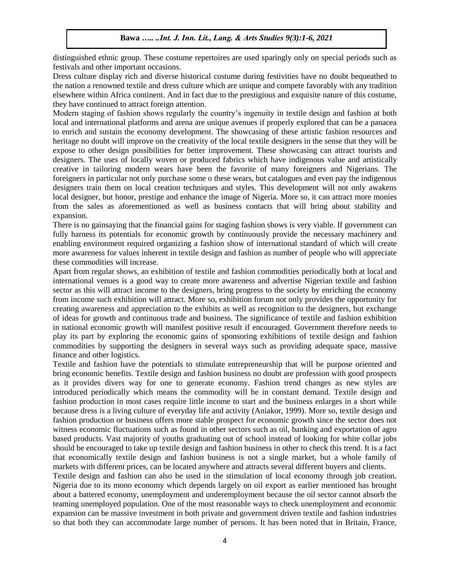distinguished ethnic group. These costume repertoires are used sparingly only on special periods such as festivals and other important occasions.

Dress culture display rich and diverse historical costume during festivities have no doubt bequeathed to the nation a renowned textile and dress culture which are unique and compete favorably with any tradition elsewhere within Africa continent. And in fact due to the prestigious and exquisite nature of this costume, they have continued to attract foreign attention.

Modern staging of fashion shows regularly the country's ingenuity in textile design and fashion at both local and international platforms and arena are unique avenues if properly explored that can be a panacea to enrich and sustain the economy development. The showcasing of these artistic fashion resources and heritage no doubt will improve on the creativity of the local textile designers in the sense that they will be expose to other design possibilities for better improvement. These showcasing can attract tourists and designers. The uses of locally woven or produced fabrics which have indigenous value and artistically creative in tailoring modern wears have been the favorite of many foreigners and Nigerians. The foreigners in particular not only purchase some o these wears, but catalogues and even pay the indigenous designers train them on local creation techniques and styles. This development will not only awakens local designer, but honor, prestige and enhance the image of Nigeria. More so, it can attract more monies from the sales as aforementioned as well as business contacts that will bring about stability and expansion.

There is no gainsaying that the financial gains for staging fashion shows is very viable. If government can fully harness its potentials for economic growth by continuously provide the necessary machinery and enabling environment required organizing a fashion show of international standard of which will create more awareness for values inherent in textile design and fashion as number of people who will appreciate these commodities will increase.

Apart from regular shows, an exhibition of textile and fashion commodities periodically both at local and international venues is a good way to create more awareness and advertise Nigerian textile and fashion sector as this will attract income to the designers, bring progress to the society by enriching the economy from income such exhibition will attract. More so, exhibition forum not only provides the opportunity for creating awareness and appreciation to the exhibits as well as recognition to the designers, but exchange of ideas for growth and continuous trade and business. The significance of textile and fashion exhibition in national economic growth will manifest positive result if encouraged. Government therefore needs to play its part by exploring the economic gains of sponsoring exhibitions of textile design and fashion commodities by supporting the designers in several ways such as providing adequate space, massive finance and other logistics.

Textile and fashion have the potentials to stimulate entrepreneurship that will be purpose oriented and bring economic benefits. Textile design and fashion business no doubt are profession with good prospects as it provides divers way for one to generate economy. Fashion trend changes as new styles are introduced periodically which means the commodity will be in constant demand. Textile design and fashion production in most cases require little income to start and the business enlarges in a short while because dress is a living culture of everyday life and activity (Aniakor, 1999). More so, textile design and fashion production or business offers more stable prospect for economic growth since the sector does not witness economic fluctuations such as found in other sectors such as oil, banking and exportation of agro based products. Vast majority of youths graduating out of school instead of looking for white collar jobs should be encouraged to take up textile design and fashion business in other to check this trend. It is a fact that economically textile design and fashion business is not a single market, but a whole family of markets with different prices, can be located anywhere and attracts several different buyers and clients.

Textile design and fashion can also be used in the stimulation of local economy through job creation. Nigeria due to its mono economy which depends largely on oil export as earlier mentioned has brought about a battered economy, unemployment and underemployment because the oil sector cannot absorb the teaming unemployed population. One of the most reasonable ways to check unemployment and economic expansion can be massive investment in both private and government driven textile and fashion industries so that both they can accommodate large number of persons. It has been noted that in Britain, France,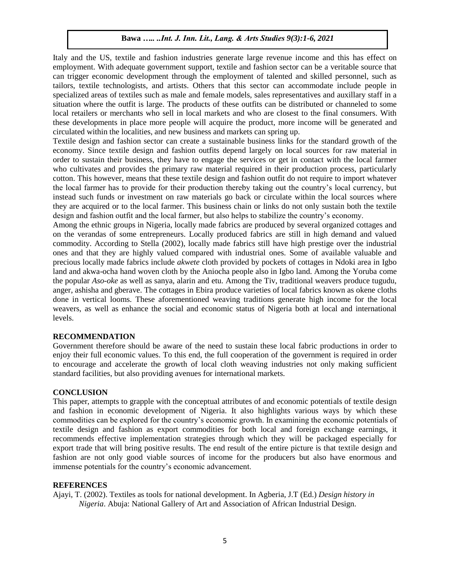Italy and the US, textile and fashion industries generate large revenue income and this has effect on employment. With adequate government support, textile and fashion sector can be a veritable source that can trigger economic development through the employment of talented and skilled personnel, such as tailors, textile technologists, and artists. Others that this sector can accommodate include people in specialized areas of textiles such as male and female models, sales representatives and auxillary staff in a situation where the outfit is large. The products of these outfits can be distributed or channeled to some local retailers or merchants who sell in local markets and who are closest to the final consumers. With these developments in place more people will acquire the product, more income will be generated and circulated within the localities, and new business and markets can spring up.

Textile design and fashion sector can create a sustainable business links for the standard growth of the economy. Since textile design and fashion outfits depend largely on local sources for raw material in order to sustain their business, they have to engage the services or get in contact with the local farmer who cultivates and provides the primary raw material required in their production process, particularly cotton. This however, means that these textile design and fashion outfit do not require to import whatever the local farmer has to provide for their production thereby taking out the country's local currency, but instead such funds or investment on raw materials go back or circulate within the local sources where they are acquired or to the local farmer. This business chain or links do not only sustain both the textile design and fashion outfit and the local farmer, but also helps to stabilize the country's economy.

Among the ethnic groups in Nigeria, locally made fabrics are produced by several organized cottages and on the verandas of some entrepreneurs. Locally produced fabrics are still in high demand and valued commodity. According to Stella (2002), locally made fabrics still have high prestige over the industrial ones and that they are highly valued compared with industrial ones. Some of available valuable and precious locally made fabrics include *akwete* cloth provided by pockets of cottages in Ndoki area in Igbo land and akwa-ocha hand woven cloth by the Aniocha people also in Igbo land. Among the Yoruba come the popular *Aso-oke* as well as sanya, alarin and etu. Among the Tiv, traditional weavers produce tugudu, anger, ashisha and gberave. The cottages in Ebira produce varieties of local fabrics known as okene cloths done in vertical looms. These aforementioned weaving traditions generate high income for the local weavers, as well as enhance the social and economic status of Nigeria both at local and international levels.

#### **RECOMMENDATION**

Government therefore should be aware of the need to sustain these local fabric productions in order to enjoy their full economic values. To this end, the full cooperation of the government is required in order to encourage and accelerate the growth of local cloth weaving industries not only making sufficient standard facilities, but also providing avenues for international markets.

#### **CONCLUSION**

This paper, attempts to grapple with the conceptual attributes of and economic potentials of textile design and fashion in economic development of Nigeria. It also highlights various ways by which these commodities can be explored for the country's economic growth. In examining the economic potentials of textile design and fashion as export commodities for both local and foreign exchange earnings, it recommends effective implementation strategies through which they will be packaged especially for export trade that will bring positive results. The end result of the entire picture is that textile design and fashion are not only good viable sources of income for the producers but also have enormous and immense potentials for the country's economic advancement.

#### **REFERENCES**

Ajayi, T. (2002). Textiles as tools for national development. In Agberia, J.T (Ed.) *Design history in Nigeria*. Abuja: National Gallery of Art and Association of African Industrial Design.